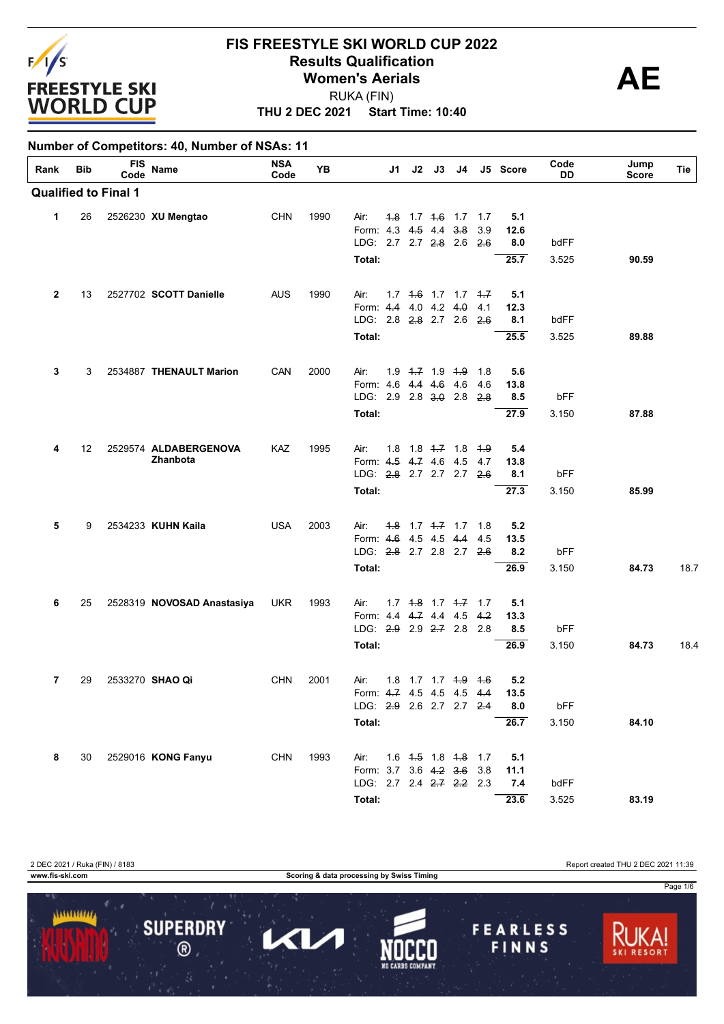

**Number of Competitors: 40, Number of NSAs: 11**

#### **FIS FREESTYLE SKI WORLD CUP 2022 Results Qualification**<br>
Women's Aerials RUKA (FIN) **Women's Aerials**

**THU 2 DEC 2021 Start Time: 10:40**

**Rank Bib FIS Code Name NSA Code YB J1 J2 J3 J4 J5 Score Code DD Tie Jump Score Qualified to Final 1 Total: 25.7** 3.525 **90.59** LDG: 2.7 2.7 2.8 2.6 2.6 **8.0** bdFF Form: 4.3 4.5 4.4 3.8 3.9 **12.6 1** 26 2526230 **XU Mengtao** CHN 1990 Air: 1.8 1.7 1.6 1.7 1.7 **5.1 Total: 25.5** 3.525 **89.88** LDG: 2.8 2.8 2.7 2.6 2.6 **8.1** bdFF Form: 4.4 4.0 4.2 4.0 4.1 **12.3 2** 13 2527702 **SCOTT Danielle** AUS 1990 Air: 1.7 1.6 1.7 1.7 1.7 **5.1 Total: 27.9** 3.150 **87.88** LDG: 2.9 2.8 3.0 2.8 2.8 **8.5** bFF Form: 4.6 4.4 4.6 4.6 4.6 **13.8 3** 3 2534887 **THENAULT Marion** CAN 2000 Air: 1.9 1.7 1.9 1.9 1.8 **5.6 Total: 27.3** 3.150 **85.99** LDG: 2.8 2.7 2.7 2.7 2.6 **8.1** bFF Form: 4.5 4.7 4.6 4.5 4.7 **13.8 4** 12 2529574 **ALDABERGENOVA Zhanbota** KAZ 1995 Air: 1.8 1.8 1.7 1.8 1.9 **5.4 Total: 26.9** 3.150 **84.73** 18.7 LDG: 2.8 2.7 2.8 2.7 2.6 **8.2** bFF Form: 4.6 4.5 4.5 4.4 4.5 **13.5 5** 9 2534233 **KUHN Kaila** USA 2003 Air: 1.8 1.7 1.7 1.7 1.8 **5.2 Total: 26.9** 3.150 **84.73** 18.4 LDG: 2.9 2.9 2.7 2.8 2.8 **8.5** bFF Form: 4.4 4.7 4.4 4.5 4.2 **13.3 6** 25 2528319 **NOVOSAD Anastasiya** UKR 1993 Air: 1.7 1.8 1.7 1.7 1.7 **5.1 Total: 26.7** 3.150 **84.10** LDG: 2.9 2.6 2.7 2.7 2.4 **8.0** bFF Form: 4.7 4.5 4.5 4.5 4.4 **13.5 7** 29 2533270 **SHAO Qi** CHN 2001 Air: 1.8 1.7 1.7 1.9 1.6 **5.2 Total: 23.6** 3.525 **83.19** LDG: 2.7 2.4 2.7 2.2 2.3 **7.4** bdFF Form: 3.7 3.6 4.2 3.6 3.8 **11.1 8** 30 2529016 **KONG Fanyu** CHN 1993 Air: 1.6 1.5 1.8 1.8 1.7 **5.1**

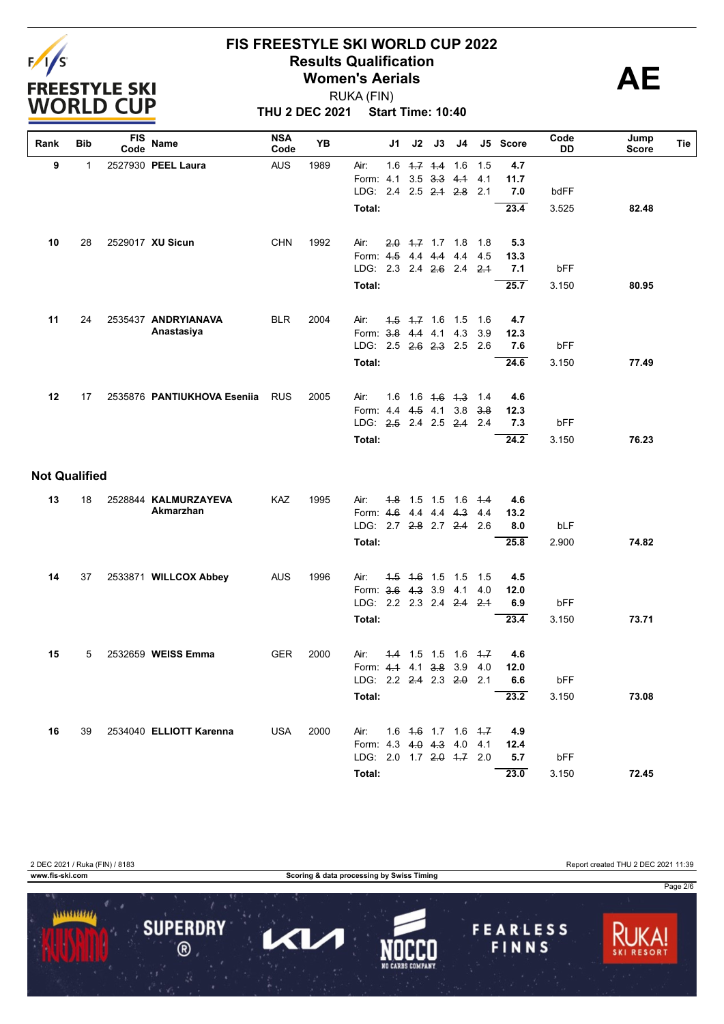

**THU 2 DEC 2021 Start Time: 10:40** RUKA (FIN)

| Rank                 | <b>Bib</b>   | <b>FIS</b><br>Code | Name                        | <b>NSA</b><br>Code | YB   |                           | J1  | J2                | J3                      | J4                  |            | J5 Score    | Code<br>DD | Jump<br>Score | Tie |
|----------------------|--------------|--------------------|-----------------------------|--------------------|------|---------------------------|-----|-------------------|-------------------------|---------------------|------------|-------------|------------|---------------|-----|
| 9                    | $\mathbf{1}$ |                    | 2527930 PEEL Laura          | <b>AUS</b>         | 1989 | Air:                      |     | $1.6$ $1.7$ $1.4$ |                         | 1.6                 | 1.5        | 4.7         |            |               |     |
|                      |              |                    |                             |                    |      | Form: 4.1                 |     | 3.5               | $3.3$ 4.1               |                     | 4.1        | 11.7        |            |               |     |
|                      |              |                    |                             |                    |      | LDG: 2.4                  |     |                   | $2.5$ $2.4$ $2.8$       |                     | 2.1        | 7.0         | bdFF       |               |     |
|                      |              |                    |                             |                    |      | Total:                    |     |                   |                         |                     |            | 23.4        | 3.525      | 82.48         |     |
| 10                   | 28           |                    | 2529017 XU Sicun            | <b>CHN</b>         | 1992 | Air:                      |     |                   | $2.0$ 4.7 1.7 1.8       |                     | 1.8        | 5.3         |            |               |     |
|                      |              |                    |                             |                    |      | Form: 4.5                 |     | 44 44             |                         | 4.4                 | 4.5        | 13.3        |            |               |     |
|                      |              |                    |                             |                    |      | LDG. 2.3 2.4 2.6 2.4      |     |                   |                         |                     | $2-1$      | 7.1         | bFF        |               |     |
|                      |              |                    |                             |                    |      | Total:                    |     |                   |                         |                     |            | 25.7        | 3.150      | 80.95         |     |
| 11                   | 24           |                    | 2535437 ANDRYIANAVA         | <b>BLR</b>         | 2004 | Air:                      |     | $4.5$ $4.7$ 1.6   |                         | 1.5                 | 1.6        | 4.7         |            |               |     |
|                      |              |                    | Anastasiya                  |                    |      | Form: 3.8 4.4 4.1         |     |                   |                         | 4.3                 | 3.9        | 12.3        |            |               |     |
|                      |              |                    |                             |                    |      | LDG: 2.5 2.6 2.3 2.5      |     |                   |                         |                     | 2.6        | 7.6         | bFF        |               |     |
|                      |              |                    |                             |                    |      | Total:                    |     |                   |                         |                     |            | 24.6        | 3.150      | 77.49         |     |
|                      |              |                    |                             |                    |      |                           |     |                   |                         |                     |            |             |            |               |     |
| 12                   | 17           |                    | 2535876 PANTIUKHOVA Eseniia | <b>RUS</b>         | 2005 | Air:<br>Form: 4.4 4.5 4.1 | 1.6 |                   | $1.6$ $4.6$ $4.3$       | 3.8                 | 1.4<br>3.8 | 4.6<br>12.3 |            |               |     |
|                      |              |                    |                             |                    |      | LDG: 2.5 2.4 2.5 2.4      |     |                   |                         |                     | 2.4        | 7.3         | bFF        |               |     |
|                      |              |                    |                             |                    |      | Total:                    |     |                   |                         |                     |            | 24.2        | 3.150      | 76.23         |     |
| <b>Not Qualified</b> |              |                    |                             |                    |      |                           |     |                   |                         |                     |            |             |            |               |     |
| 13                   | 18           |                    | 2528844 KALMURZAYEVA        | KAZ                | 1995 | Air:                      | 4.8 | $1.5$ 1.5         |                         | 1.6                 | 4.4        | 4.6         |            |               |     |
|                      |              |                    | Akmarzhan                   |                    |      | Form: 4.6                 |     | 4.4 4.4           |                         | 4.3                 | 4.4        | 13.2        |            |               |     |
|                      |              |                    |                             |                    |      | LDG: 2.7 2.8 2.7 2.4      |     |                   |                         |                     | 2.6        | 8.0         | bLF        |               |     |
|                      |              |                    |                             |                    |      | Total:                    |     |                   |                         |                     |            | 25.8        | 2.900      | 74.82         |     |
| 14                   | 37           |                    | 2533871 WILLCOX Abbey       | <b>AUS</b>         | 1996 | Air:                      |     |                   | $4.5$ $4.6$ $1.5$ $1.5$ |                     | 1.5        | 4.5         |            |               |     |
|                      |              |                    |                             |                    |      | Form: 3.6 4.3 3.9         |     |                   |                         | 4.1                 | 4.0        | 12.0        |            |               |     |
|                      |              |                    |                             |                    |      | LDG: 2.2 2.3 2.4 2.4      |     |                   |                         |                     | 2.1        | 6.9         | bFF        |               |     |
|                      |              |                    |                             |                    |      | Total:                    |     |                   |                         |                     |            | 23.4        | 3.150      | 73.71         |     |
| 15                   | 5            |                    | 2532659 WEISS Emma          | <b>GER</b>         | 2000 | Air:                      | 4.4 | 1.5               | 1.5                     | 1.6                 | 4.7        | 4.6         |            |               |     |
|                      |              |                    |                             |                    |      | Form: 4.4 4.1 3.8 3.9     |     |                   |                         |                     | 4.0        | 12.0        |            |               |     |
|                      |              |                    |                             |                    |      | LDG: 2.2 2.4 2.3 2.0 2.1  |     |                   |                         |                     |            | 6.6         | bFF        |               |     |
|                      |              |                    |                             |                    |      | Total:                    |     |                   |                         |                     |            | 23.2        | 3.150      | 73.08         |     |
| 16                   | 39           |                    | 2534040 ELLIOTT Karenna     | <b>USA</b>         | 2000 | Air:                      |     |                   |                         | 1.6 4.6 1.7 1.6 4.7 |            | 4.9         |            |               |     |
|                      |              |                    |                             |                    |      | Form: 4.3 4.0 4.3 4.0     |     |                   |                         |                     | 4.1        | 12.4        |            |               |     |
|                      |              |                    |                             |                    |      | LDG: 2.0 1.7 2.0 4.7 2.0  |     |                   |                         |                     |            | 5.7         | bFF        |               |     |
|                      |              |                    |                             |                    |      | Total:                    |     |                   |                         |                     |            | 23.0        | 3.150      | 72.45         |     |

2 DEC 2021 / Ruka (FIN) / 8183 Report created THU 2 DEC 2021 11:39

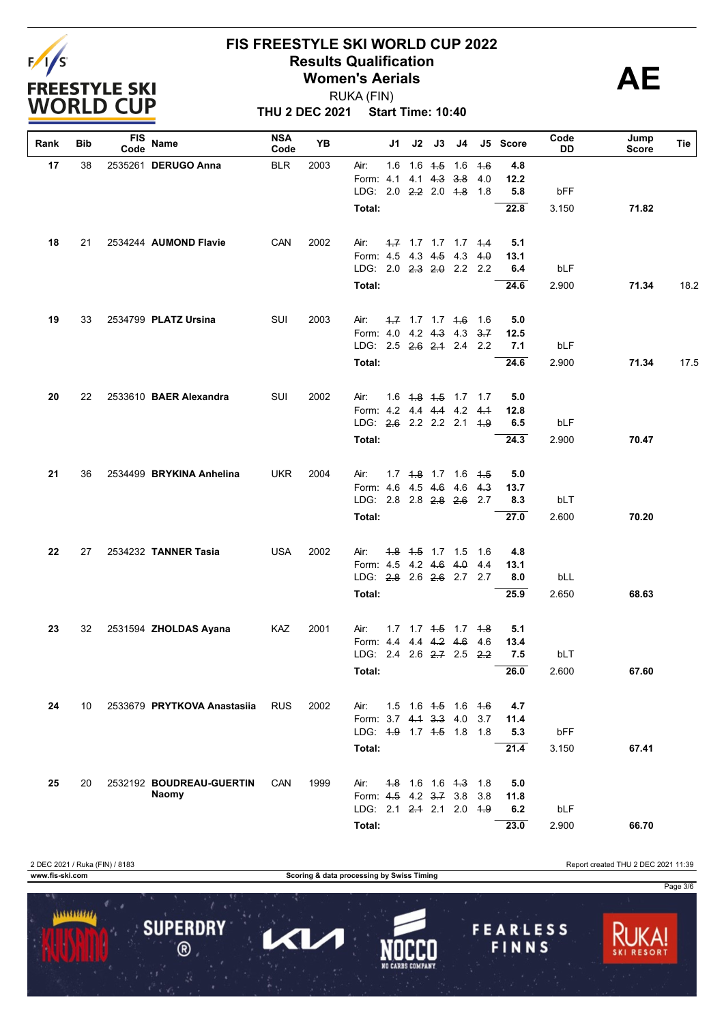

**THU 2 DEC 2021 Start Time: 10:40** RUKA (FIN)

| Rank | Bib | FIS<br>Code | Name                        | <b>NSA</b><br>Code | YB   |                                                   | J1 | J2 | J3                             | J4 |            | J5 Score    | Code<br>DD | Jump<br>Score | Tie  |
|------|-----|-------------|-----------------------------|--------------------|------|---------------------------------------------------|----|----|--------------------------------|----|------------|-------------|------------|---------------|------|
| 17   | 38  |             | 2535261 DERUGO Anna         | <b>BLR</b>         | 2003 | Air:                                              |    |    | $1.6$ 1.6 $4.5$ 1.6            |    | $+6$       | 4.8         |            |               |      |
|      |     |             |                             |                    |      | Form: 4.1                                         |    |    | 4.1 4.3 3.8                    |    | 4.0        | 12.2        |            |               |      |
|      |     |             |                             |                    |      | LDG: 2.0 2.2 2.0 4.8                              |    |    |                                |    | 1.8        | 5.8         | bFF        |               |      |
|      |     |             |                             |                    |      | Total:                                            |    |    |                                |    |            | 22.8        | 3.150      | 71.82         |      |
| 18   | 21  |             | 2534244 AUMOND Flavie       | CAN                | 2002 | Air:                                              |    |    | 4.7 1.7 1.7 1.7 4.4            |    |            | 5.1         |            |               |      |
|      |     |             |                             |                    |      | Form: 4.5 4.3 4.5 4.3                             |    |    |                                |    | 4.0        | 13.1        |            |               |      |
|      |     |             |                             |                    |      | LDG: 2.0 2.3 2.0 2.2 2.2                          |    |    |                                |    |            | 6.4         | bLF        |               |      |
|      |     |             |                             |                    |      | Total:                                            |    |    |                                |    |            | 24.6        | 2.900      | 71.34         | 18.2 |
| 19   | 33  |             | 2534799 PLATZ Ursina        | SUI                | 2003 | Air:                                              |    |    | $-1.7$ 1.7 1.7 $+6$            |    | 1.6        | 5.0         |            |               |      |
|      |     |             |                             |                    |      | Form: 4.0 4.2 4.3 4.3<br>LDG: 2.5 2.6 2.1 2.4 2.2 |    |    |                                |    | 3.7        | 12.5<br>7.1 | bLF        |               |      |
|      |     |             |                             |                    |      | Total:                                            |    |    |                                |    |            | 24.6        | 2.900      | 71.34         | 17.5 |
|      |     |             |                             |                    |      |                                                   |    |    |                                |    |            |             |            |               |      |
| 20   | 22  |             | 2533610 BAER Alexandra      | SUI                | 2002 | Air:                                              |    |    | 1.6 <del>1.8</del> 1.5 1.7 1.7 |    |            | 5.0         |            |               |      |
|      |     |             |                             |                    |      | Form: 4.2 4.4 4.4 4.2 4.1                         |    |    |                                |    |            | 12.8        |            |               |      |
|      |     |             |                             |                    |      | LDG: 2.6 2.2 2.2 2.1                              |    |    |                                |    | <u>4.9</u> | 6.5         | bLF        |               |      |
|      |     |             |                             |                    |      | Total:                                            |    |    |                                |    |            | 24.3        | 2.900      | 70.47         |      |
| 21   | 36  |             | 2534499 BRYKINA Anhelina    | <b>UKR</b>         | 2004 | Air:                                              |    |    | 1.7 4.8 1.7 1.6 4.5            |    |            | 5.0         |            |               |      |
|      |     |             |                             |                    |      | Form: 4.6 4.5 4.6 4.6                             |    |    |                                |    | 4.3        | 13.7        |            |               |      |
|      |     |             |                             |                    |      | LDG: 2.8 2.8 <del>2.8</del> 2.6 2.7               |    |    |                                |    |            | 8.3         | bLT        |               |      |
|      |     |             |                             |                    |      | Total:                                            |    |    |                                |    |            | 27.0        | 2.600      | 70.20         |      |
| 22   | 27  |             | 2534232 TANNER Tasia        | <b>USA</b>         | 2002 | Air:                                              |    |    | 4.8 4.5 1.7 1.5                |    | 1.6        | 4.8         |            |               |      |
|      |     |             |                             |                    |      | Form: 4.5 4.2 4.6 4.0                             |    |    |                                |    | 4.4        | 13.1        |            |               |      |
|      |     |             |                             |                    |      | LDG: 2.8 2.6 2.6 2.7 2.7                          |    |    |                                |    |            | 8.0         | bLL        |               |      |
|      |     |             |                             |                    |      | Total:                                            |    |    |                                |    |            | 25.9        | 2.650      | 68.63         |      |
| 23   | 32  |             | 2531594 ZHOLDAS Ayana       | KAZ                | 2001 | Air:                                              |    |    | $1.7$ $1.7$ $1.5$ $1.7$ $1.8$  |    |            | 5.1         |            |               |      |
|      |     |             |                             |                    |      | Form: 4.4 4.4 4.2 4.6                             |    |    |                                |    | 4.6        | 13.4        |            |               |      |
|      |     |             |                             |                    |      | LDG: 2.4 2.6 2.7 2.5                              |    |    |                                |    | 2.2        | 7.5         | bLT        |               |      |
|      |     |             |                             |                    |      | Total:                                            |    |    |                                |    |            | 26.0        | 2.600      | 67.60         |      |
| 24   | 10  |             | 2533679 PRYTKOVA Anastasiia | <b>RUS</b>         | 2002 | Air:                                              |    |    | $1.5$ 1.6 $4.5$ 1.6 $4.6$      |    |            | 4.7         |            |               |      |
|      |     |             |                             |                    |      | Form: 3.7 4.1 3.3 4.0                             |    |    |                                |    | 3.7        | 11.4        |            |               |      |
|      |     |             |                             |                    |      | LDG: 4.9 1.7 4.5 1.8 1.8                          |    |    |                                |    |            | 5.3         | bFF        |               |      |
|      |     |             |                             |                    |      | Total:                                            |    |    |                                |    |            | 21.4        | 3.150      | 67.41         |      |
| 25   | 20  |             | 2532192 BOUDREAU-GUERTIN    | CAN                | 1999 | Air:                                              |    |    | 4.8 1.6 1.6 4.3 1.8            |    |            | 5.0         |            |               |      |
|      |     |             | <b>Naomy</b>                |                    |      | Form: 4.5 4.2 3.7 3.8                             |    |    |                                |    | 3.8        | 11.8        |            |               |      |
|      |     |             |                             |                    |      | LDG: 2.1 2.4 2.1 2.0 4.9                          |    |    |                                |    |            | 6.2         | bLF        |               |      |
|      |     |             |                             |                    |      | Total:                                            |    |    |                                |    |            | 23.0        | 2.900      | 66.70         |      |

2 DEC 2021 / Ruka (FIN) / 8183 Report created THU 2 DEC 2021 11:39 **www.fis-ski.com Scoring & data processing by Swiss Timing** Page 3/6 $11111111111$ **SUPERDRY FEARLESS** 0  $\blacktriangleleft$  $\circledR$ FINNS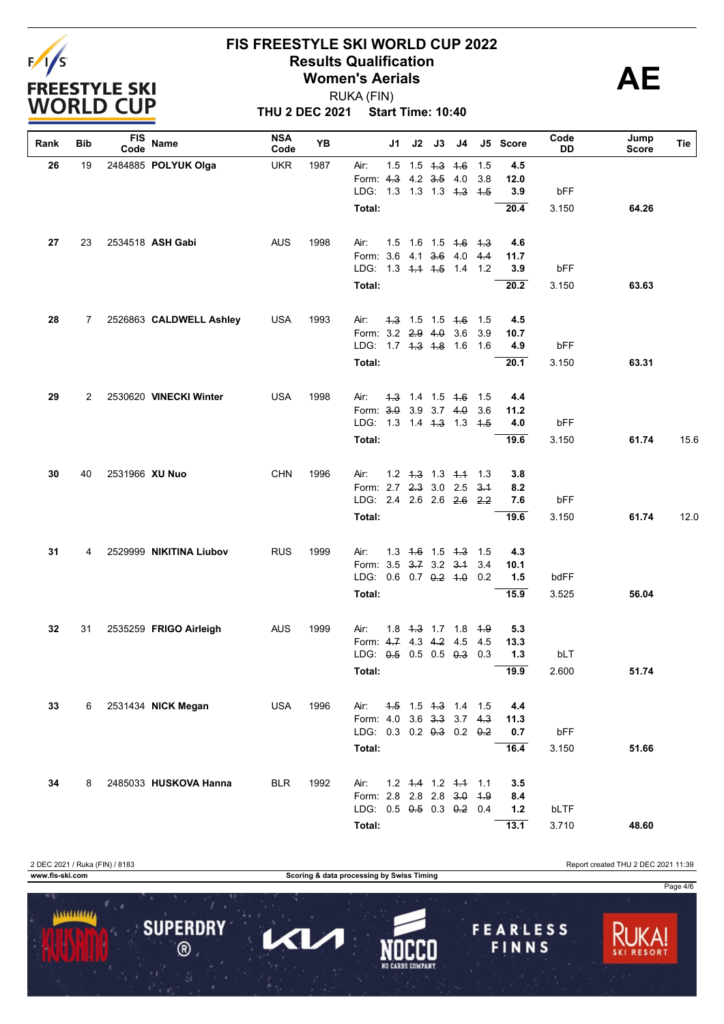

**THU 2 DEC 2021 Start Time: 10:40** RUKA (FIN)

| Rank | Bib | <b>FIS</b><br>Code | Name                    | <b>NSA</b><br>Code | YΒ   | J1                        | J2                            | J3 | J4 |        | J5 Score | Code<br>DD | Jump<br>Score | Tie  |
|------|-----|--------------------|-------------------------|--------------------|------|---------------------------|-------------------------------|----|----|--------|----------|------------|---------------|------|
| 26   | 19  |                    | 2484885 POLYUK Olga     | <b>UKR</b>         | 1987 | Air:                      | $1.5$ $1.5$ $4.3$ $4.6$       |    |    | 1.5    | 4.5      |            |               |      |
|      |     |                    |                         |                    |      | Form: 4.3 4.2 3.5 4.0     |                               |    |    | 3.8    | 12.0     |            |               |      |
|      |     |                    |                         |                    |      | LDG: 1.3 1.3 1.3 4.3 4.5  |                               |    |    |        | 3.9      | bFF        |               |      |
|      |     |                    |                         |                    |      | Total:                    |                               |    |    |        | 20.4     | 3.150      | 64.26         |      |
| 27   | 23  |                    | 2534518 ASH Gabi        | <b>AUS</b>         | 1998 | Air:                      | $1.5$ 1.6 1.5 4.6 4.3         |    |    |        | 4.6      |            |               |      |
|      |     |                    |                         |                    |      | Form: 3.6 4.1 3.6 4.0     |                               |    |    | 4.4    | 11.7     |            |               |      |
|      |     |                    |                         |                    |      | LDG: 1.3 4.4 4.5 1.4 1.2  |                               |    |    |        | 3.9      | bFF        |               |      |
|      |     |                    |                         |                    |      | Total:                    |                               |    |    |        | 20.2     | 3.150      | 63.63         |      |
| 28   | 7   |                    | 2526863 CALDWELL Ashley | <b>USA</b>         | 1993 | Air:                      | $4.3$ 1.5 1.5 $4.6$           |    |    | 1.5    | 4.5      |            |               |      |
|      |     |                    |                         |                    |      | Form: 3.2 2.9 4.0 3.6     |                               |    |    | 3.9    | 10.7     |            |               |      |
|      |     |                    |                         |                    |      | LDG: 1.7 4.3 4.8 1.6      |                               |    |    | - 1.6  | 4.9      | bFF        |               |      |
|      |     |                    |                         |                    |      | Total:                    |                               |    |    |        | 20.1     | 3.150      | 63.31         |      |
| 29   | 2   |                    | 2530620 VINECKI Winter  | <b>USA</b>         | 1998 | Air:                      | $1.3$ 1.4 1.5 1.6             |    |    | 1.5    | 4.4      |            |               |      |
|      |     |                    |                         |                    |      | Form: 3.0 3.9 3.7 4.0     |                               |    |    | 3.6    | 11.2     |            |               |      |
|      |     |                    |                         |                    |      | LDG: 1.3 1.4 4.3 1.3 4.5  |                               |    |    |        | 4.0      | bFF        |               |      |
|      |     |                    |                         |                    |      | Total:                    |                               |    |    |        | 19.6     | 3.150      | 61.74         | 15.6 |
| 30   | 40  | 2531966 XU Nuo     |                         | <b>CHN</b>         | 1996 | Air:                      | $1.2$ $1.3$ $1.3$ $1.4$ $1.3$ |    |    |        | 3.8      |            |               |      |
|      |     |                    |                         |                    |      | Form: 2.7 2.3 3.0 2.5     |                               |    |    | $3-1$  | 8.2      |            |               |      |
|      |     |                    |                         |                    |      | LDG: 2.4 2.6 2.6 2.6 2.2  |                               |    |    |        | 7.6      | bFF        |               |      |
|      |     |                    |                         |                    |      | Total:                    |                               |    |    |        | 19.6     | 3.150      | 61.74         | 12.0 |
| 31   | 4   |                    | 2529999 NIKITINA Liubov | <b>RUS</b>         | 1999 | Air:                      | $1.3$ 4.6 1.5 4.3             |    |    | $-1.5$ | 4.3      |            |               |      |
|      |     |                    |                         |                    |      | Form: 3.5 3.7 3.2 3.1     |                               |    |    | 3.4    | 10.1     |            |               |      |
|      |     |                    |                         |                    |      | LDG: $0.6$ 0.7 $0.2$ 4.0  |                               |    |    | 0.2    | 1.5      | bdFF       |               |      |
|      |     |                    |                         |                    |      | Total:                    |                               |    |    |        | 15.9     | 3.525      | 56.04         |      |
| 32   | 31  |                    | 2535259 FRIGO Airleigh  | AUS                | 1999 | Air:                      | 1.8 4.3 1.7 1.8 4.9           |    |    |        | 5.3      |            |               |      |
|      |     |                    |                         |                    |      | Form: 4.7 4.3 4.2 4.5     |                               |    |    | 4.5    | 13.3     |            |               |      |
|      |     |                    |                         |                    |      | LDG: 0.5 0.5 0.5 0.3      |                               |    |    | 0.3    | $1.3$    | bLT        |               |      |
|      |     |                    |                         |                    |      | Total:                    |                               |    |    |        | 19.9     | 2.600      | 51.74         |      |
| 33   | 6   |                    | 2531434 NICK Megan      | <b>USA</b>         | 1996 | Air:                      | 4.5 1.5 4.3 1.4 1.5           |    |    |        | 4.4      |            |               |      |
|      |     |                    |                         |                    |      | Form: 4.0 3.6 3.3 3.7 4.3 |                               |    |    |        | 11.3     |            |               |      |
|      |     |                    |                         |                    |      | LDG: 0.3 0.2 0.3 0.2 0.2  |                               |    |    |        | 0.7      | bFF        |               |      |
|      |     |                    |                         |                    |      | Total:                    |                               |    |    |        | 16.4     | 3.150      | 51.66         |      |
| 34   | 8   |                    | 2485033 HUSKOVA Hanna   | <b>BLR</b>         | 1992 | Air:                      | $1.2$ 4.4 1.2 4.4             |    |    | 1.1    | 3.5      |            |               |      |
|      |     |                    |                         |                    |      | Form: 2.8 2.8 2.8 3.0     |                               |    |    | 4.9    | 8.4      |            |               |      |
|      |     |                    |                         |                    |      | LDG: 0.5 0.5 0.3 0.2 0.4  |                               |    |    |        | $1.2$    | bLTF       |               |      |
|      |     |                    |                         |                    |      | Total:                    |                               |    |    |        | 13.1     | 3.710      | 48.60         |      |

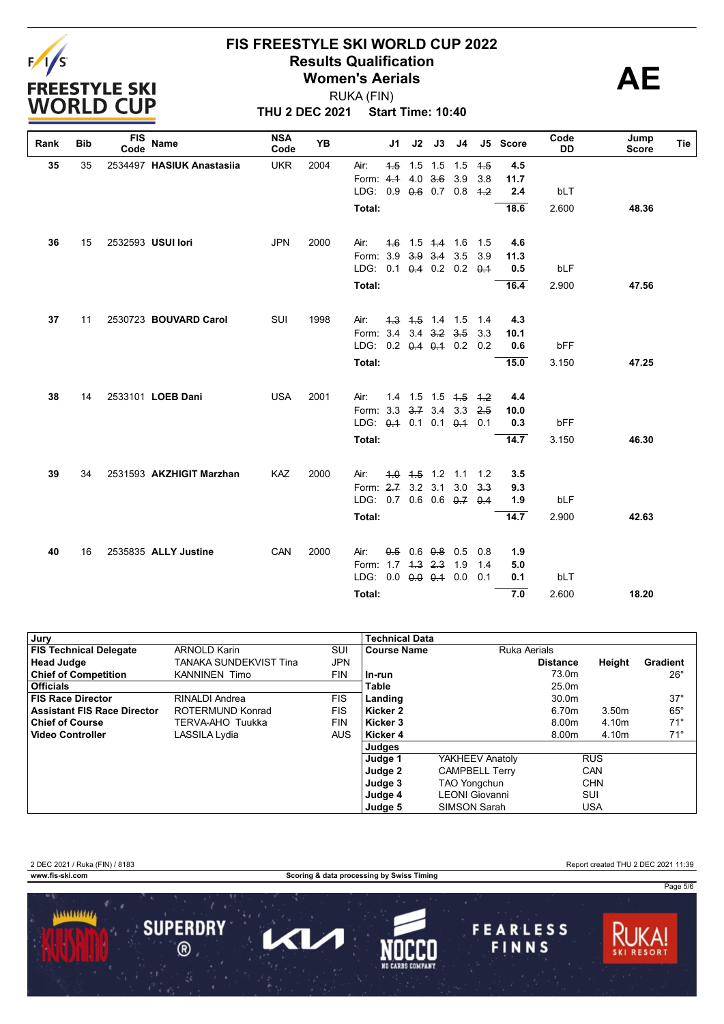

**THU 2 DEC 2021 Start Time: 10:40** RUKA (FIN)

| Rank | <b>Bib</b> | <b>FIS</b><br>Code | Name                      | <b>NSA</b><br>Code | YB   |                               | J <sub>1</sub> | J2  | J3                      | J4                |            | J5 Score    | Code<br>DD | Jump<br><b>Score</b> | Tie |
|------|------------|--------------------|---------------------------|--------------------|------|-------------------------------|----------------|-----|-------------------------|-------------------|------------|-------------|------------|----------------------|-----|
| 35   | 35         |                    | 2534497 HASIUK Anastasiia | <b>UKR</b>         | 2004 | Air:                          | 4.5            | 1.5 | 1.5                     | 1.5               | 4.5        | 4.5         |            |                      |     |
|      |            |                    |                           |                    |      | Form: $4.4$                   |                | 4.0 | 3.6                     | 3.9               | 3.8        | 11.7        |            |                      |     |
|      |            |                    |                           |                    |      | LDG: 0.9 0.6 0.7 0.8          |                |     |                         |                   | $+2$       | 2.4         | bLT        |                      |     |
|      |            |                    |                           |                    |      | Total:                        |                |     |                         |                   |            | 18.6        | 2.600      | 48.36                |     |
| 36   | 15         |                    | 2532593 USUI lori         | <b>JPN</b>         | 2000 | Air:                          |                |     | $-4.6$ 1.5 $+4$ 1.6     |                   | 1.5        | 4.6         |            |                      |     |
|      |            |                    |                           |                    |      | Form: 3.9                     |                |     | $3.9$ $3.4$ $3.5$       |                   | 3.9        | 11.3        |            |                      |     |
|      |            |                    |                           |                    |      | LDG: 0.1 0.4 0.2 0.2 0.4      |                |     |                         |                   |            | 0.5         | bLF        |                      |     |
|      |            |                    |                           |                    |      | Total:                        |                |     |                         |                   |            | 16.4        | 2.900      | 47.56                |     |
|      | 11         |                    |                           |                    |      |                               |                |     | $4.3$ $4.5$ $1.4$ $1.5$ |                   |            |             |            |                      |     |
| 37   |            |                    | 2530723 BOUVARD Carol     | SUI                | 1998 | Air:<br>Form: 3.4 3.4 3.2 3.5 |                |     |                         |                   | 1.4<br>3.3 | 4.3<br>10.1 |            |                      |     |
|      |            |                    |                           |                    |      | LDG: 0.2 0.4 0.4 0.2          |                |     |                         |                   | 0.2        | 0.6         | bFF        |                      |     |
|      |            |                    |                           |                    |      |                               |                |     |                         |                   |            |             |            |                      |     |
|      |            |                    |                           |                    |      | Total:                        |                |     |                         |                   |            | 15.0        | 3.150      | 47.25                |     |
| 38   | 14         |                    | 2533101 LOEB Dani         | <b>USA</b>         | 2001 | Air:                          |                |     |                         | $1.4$ 1.5 1.5 4.5 | 4.2        | 4.4         |            |                      |     |
|      |            |                    |                           |                    |      | Form: 3.3                     |                |     | $3.7$ 3.4 3.3           |                   | 2.5        | 10.0        |            |                      |     |
|      |            |                    |                           |                    |      | LDG: $0.4$ 0.1                |                |     |                         | $0.1 \quad 0.1$   | 0.1        | 0.3         | bFF        |                      |     |
|      |            |                    |                           |                    |      | Total:                        |                |     |                         |                   |            | 14.7        | 3.150      | 46.30                |     |
| 39   | 34         |                    | 2531593 AKZHIGIT Marzhan  | <b>KAZ</b>         | 2000 | Air:                          |                |     | $4.0$ $4.5$ 1.2 1.1     |                   | 1.2        | 3.5         |            |                      |     |
|      |            |                    |                           |                    |      | Form: 2.7 3.2 3.1 3.0         |                |     |                         |                   | $3-3$      | 9.3         |            |                      |     |
|      |            |                    |                           |                    |      | LDG: 0.7 0.6 0.6 0.7 0.4      |                |     |                         |                   |            | 1.9         | bLF        |                      |     |
|      |            |                    |                           |                    |      | Total:                        |                |     |                         |                   |            | 14.7        | 2.900      | 42.63                |     |
|      |            |                    |                           |                    |      |                               |                |     |                         |                   |            |             |            |                      |     |
| 40   | 16         |                    | 2535835 ALLY Justine      | CAN                | 2000 | Air:                          | $0.5^{\circ}$  |     | $0.6$ $0.8$ $0.5$       |                   | 0.8        | 1.9         |            |                      |     |
|      |            |                    |                           |                    |      | Form: 1.7 4.3 2.3 1.9         |                |     |                         |                   | 1.4        | 5.0         |            |                      |     |
|      |            |                    |                           |                    |      | LDG: $0.0$ $0.0$ $0.4$ $0.0$  |                |     |                         |                   | 0.1        | 0.1         | bLT        |                      |     |
|      |            |                    |                           |                    |      | Total:                        |                |     |                         |                   |            | 7.0         | 2.600      | 18.20                |     |

| Jury                          |                        |            | <b>Technical Data</b> |                       |                 |                   |              |
|-------------------------------|------------------------|------------|-----------------------|-----------------------|-----------------|-------------------|--------------|
| <b>FIS Technical Delegate</b> | <b>ARNOLD Karin</b>    | SUI        | <b>Course Name</b>    | Ruka Aerials          |                 |                   |              |
| <b>Head Judge</b>             | TANAKA SUNDEKVIST Tina | <b>JPN</b> |                       |                       | <b>Distance</b> | Height            | Gradient     |
| <b>Chief of Competition</b>   | <b>KANNINEN Timo</b>   | <b>FIN</b> | ln-run                |                       | 73.0m           |                   | $26^{\circ}$ |
| Officials                     |                        |            | Table                 |                       | 25.0m           |                   |              |
| <b>FIS Race Director</b>      | RINALDI Andrea         | FIS.       | Landing               |                       | 30.0m           |                   | $37^\circ$   |
| Assistant FIS Race Director   | ROTERMUND Konrad       | FIS        | Kicker 2              |                       | 6.70m           | 3.50 <sub>m</sub> | $65^{\circ}$ |
| <b>Chief of Course</b>        | TERVA-AHO Tuukka       | <b>FIN</b> | Kicker 3              |                       | 8.00m           | 4.10m             | $71^{\circ}$ |
| ∣ Video Controller            | LASSILA Lydia          | <b>AUS</b> | Kicker 4              |                       | 8.00m           | 4.10m             | $71^\circ$   |
|                               |                        |            | Judges                |                       |                 |                   |              |
|                               |                        |            | Judge 1               | YAKHEEV Anatoly       |                 | <b>RUS</b>        |              |
|                               |                        |            | Judge 2               | <b>CAMPBELL Terry</b> |                 | CAN               |              |
|                               |                        |            | Judge 3               | <b>TAO Yongchun</b>   |                 | <b>CHN</b>        |              |
|                               |                        |            | Judge 4               | LEONI Giovanni        |                 | SUI               |              |
|                               |                        |            | Judge 5               | <b>SIMSON Sarah</b>   |                 | <b>USA</b>        |              |